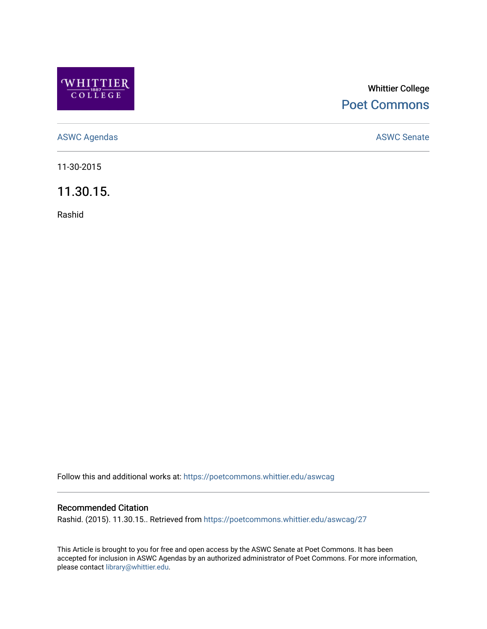

## Whittier College [Poet Commons](https://poetcommons.whittier.edu/)

[ASWC Agendas](https://poetcommons.whittier.edu/aswcag) **ASWC Senate** 

11-30-2015

11.30.15.

Rashid

Follow this and additional works at: [https://poetcommons.whittier.edu/aswcag](https://poetcommons.whittier.edu/aswcag?utm_source=poetcommons.whittier.edu%2Faswcag%2F27&utm_medium=PDF&utm_campaign=PDFCoverPages) 

## Recommended Citation

Rashid. (2015). 11.30.15.. Retrieved from [https://poetcommons.whittier.edu/aswcag/27](https://poetcommons.whittier.edu/aswcag/27?utm_source=poetcommons.whittier.edu%2Faswcag%2F27&utm_medium=PDF&utm_campaign=PDFCoverPages)

This Article is brought to you for free and open access by the ASWC Senate at Poet Commons. It has been accepted for inclusion in ASWC Agendas by an authorized administrator of Poet Commons. For more information, please contact [library@whittier.edu](mailto:library@whittier.edu).